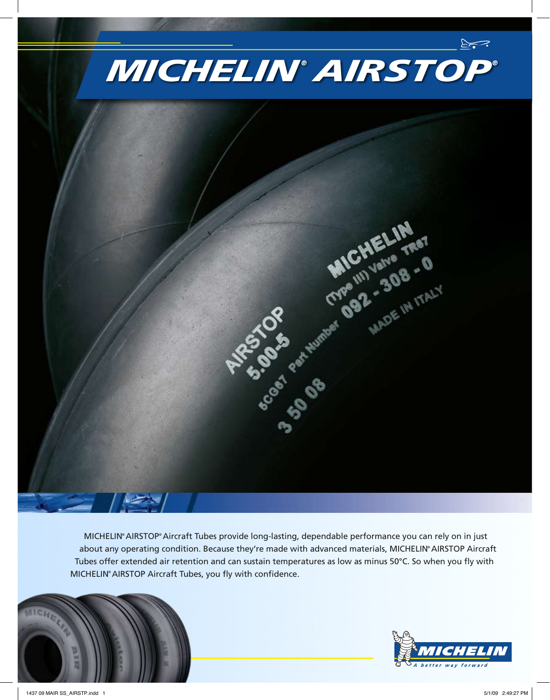

MICHELIN® AIRSTOP® Aircraft Tubes provide long-lasting, dependable performance you can rely on in just about any operating condition. Because they're made with advanced materials, MICHELIN® AIRSTOP Aircraft Tubes offer extended air retention and can sustain temperatures as low as minus 50°C. So when you fly with MICHELIN® AIRSTOP Aircraft Tubes, you fly with confidence.